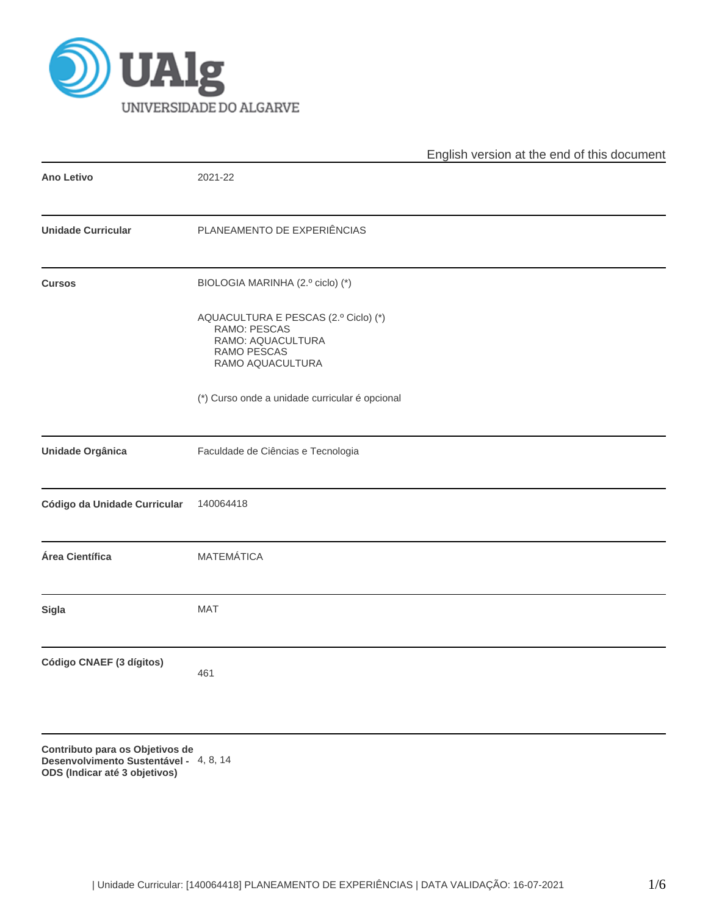

|                              |                                                                                                              | English version at the end of this document |  |  |  |  |
|------------------------------|--------------------------------------------------------------------------------------------------------------|---------------------------------------------|--|--|--|--|
| <b>Ano Letivo</b>            | 2021-22                                                                                                      |                                             |  |  |  |  |
| <b>Unidade Curricular</b>    | PLANEAMENTO DE EXPERIÊNCIAS                                                                                  |                                             |  |  |  |  |
| <b>Cursos</b>                | BIOLOGIA MARINHA (2.º ciclo) (*)                                                                             |                                             |  |  |  |  |
|                              | AQUACULTURA E PESCAS (2.º Ciclo) (*)<br>RAMO: PESCAS<br>RAMO: AQUACULTURA<br>RAMO PESCAS<br>RAMO AQUACULTURA |                                             |  |  |  |  |
|                              | (*) Curso onde a unidade curricular é opcional                                                               |                                             |  |  |  |  |
| Unidade Orgânica             | Faculdade de Ciências e Tecnologia                                                                           |                                             |  |  |  |  |
| Código da Unidade Curricular | 140064418                                                                                                    |                                             |  |  |  |  |
| Área Científica              | <b>MATEMÁTICA</b>                                                                                            |                                             |  |  |  |  |
| Sigla                        | MAT                                                                                                          |                                             |  |  |  |  |
| Código CNAEF (3 dígitos)     | 461                                                                                                          |                                             |  |  |  |  |
|                              |                                                                                                              |                                             |  |  |  |  |

**Contributo para os Objetivos de Desenvolvimento Sustentável -** 4, 8, 14**ODS (Indicar até 3 objetivos)**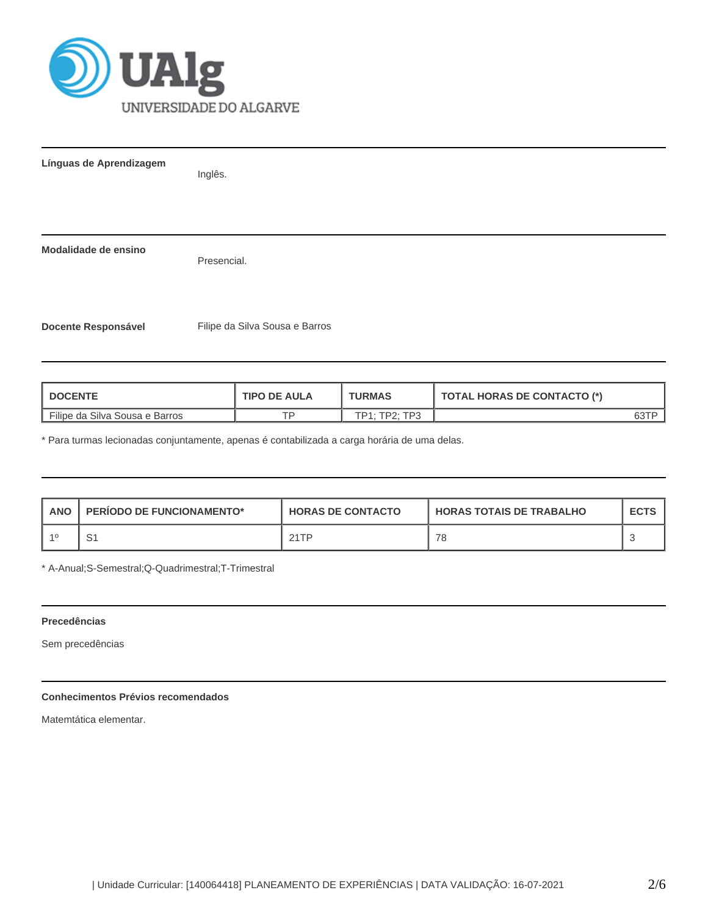

**Línguas de Aprendizagem**

Inglês.

**Modalidade de ensino**

Presencial.

**Docente Responsável** Filipe da Silva Sousa e Barros

| <b>I DOCENTE</b>               | <b>TIPO DE AULA</b> | <b>TURMAS</b>           | <b>TOTAL HORAS DE CONTACTO (*)</b> |  |  |
|--------------------------------|---------------------|-------------------------|------------------------------------|--|--|
| Filipe da Silva Sousa e Barros | тn                  | $-$ TD $2.702$<br>TD1 · |                                    |  |  |

\* Para turmas lecionadas conjuntamente, apenas é contabilizada a carga horária de uma delas.

| <b>ANO</b> | <b>PERIODO DE FUNCIONAMENTO*</b> | <b>HORAS DE CONTACTO</b> | <b>HORAS TOTAIS DE TRABALHO</b> | <b>ECTS</b> |
|------------|----------------------------------|--------------------------|---------------------------------|-------------|
| -10        | ا ب                              | 21TP                     | 78                              |             |

\* A-Anual;S-Semestral;Q-Quadrimestral;T-Trimestral

#### **Precedências**

Sem precedências

# **Conhecimentos Prévios recomendados**

Matemtática elementar.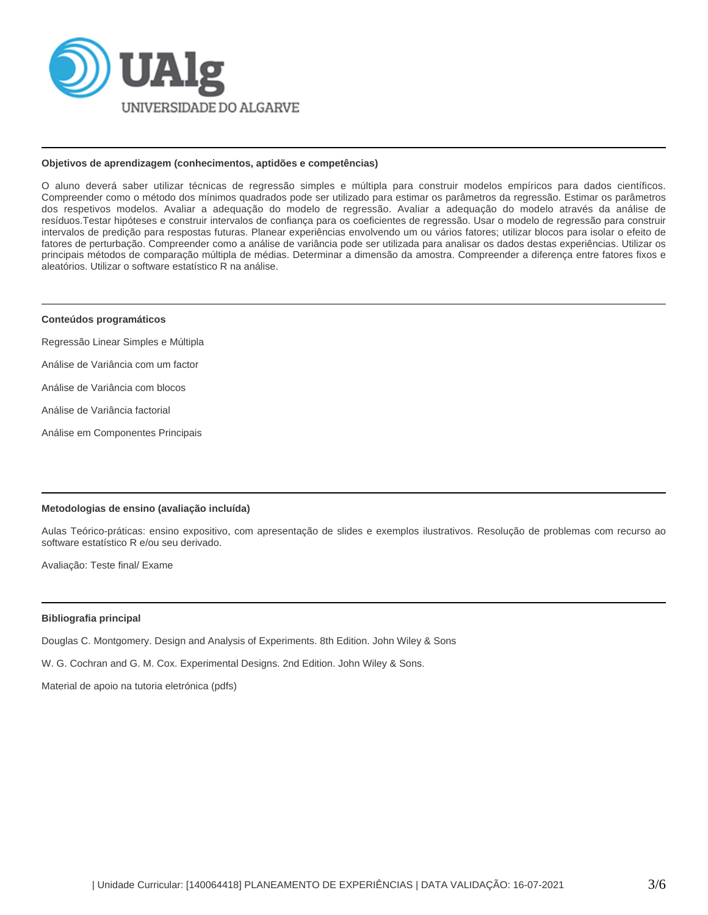

#### **Objetivos de aprendizagem (conhecimentos, aptidões e competências)**

O aluno deverá saber utilizar técnicas de regressão simples e múltipla para construir modelos empíricos para dados científicos. Compreender como o método dos mínimos quadrados pode ser utilizado para estimar os parâmetros da regressão. Estimar os parâmetros dos respetivos modelos. Avaliar a adequação do modelo de regressão. Avaliar a adequação do modelo através da análise de resíduos.Testar hipóteses e construir intervalos de confiança para os coeficientes de regressão. Usar o modelo de regressão para construir intervalos de predição para respostas futuras. Planear experiências envolvendo um ou vários fatores; utilizar blocos para isolar o efeito de fatores de perturbação. Compreender como a análise de variância pode ser utilizada para analisar os dados destas experiências. Utilizar os principais métodos de comparação múltipla de médias. Determinar a dimensão da amostra. Compreender a diferença entre fatores fixos e aleatórios. Utilizar o software estatístico R na análise.

#### **Conteúdos programáticos**

- Regressão Linear Simples e Múltipla
- Análise de Variância com um factor
- Análise de Variância com blocos
- Análise de Variância factorial
- Análise em Componentes Principais

#### **Metodologias de ensino (avaliação incluída)**

Aulas Teórico-práticas: ensino expositivo, com apresentação de slides e exemplos ilustrativos. Resolução de problemas com recurso ao software estatístico R e/ou seu derivado.

Avaliação: Teste final/ Exame

#### **Bibliografia principal**

Douglas C. Montgomery. Design and Analysis of Experiments. 8th Edition. John Wiley & Sons

W. G. Cochran and G. M. Cox. Experimental Designs. 2nd Edition. John Wiley & Sons.

Material de apoio na tutoria eletrónica (pdfs)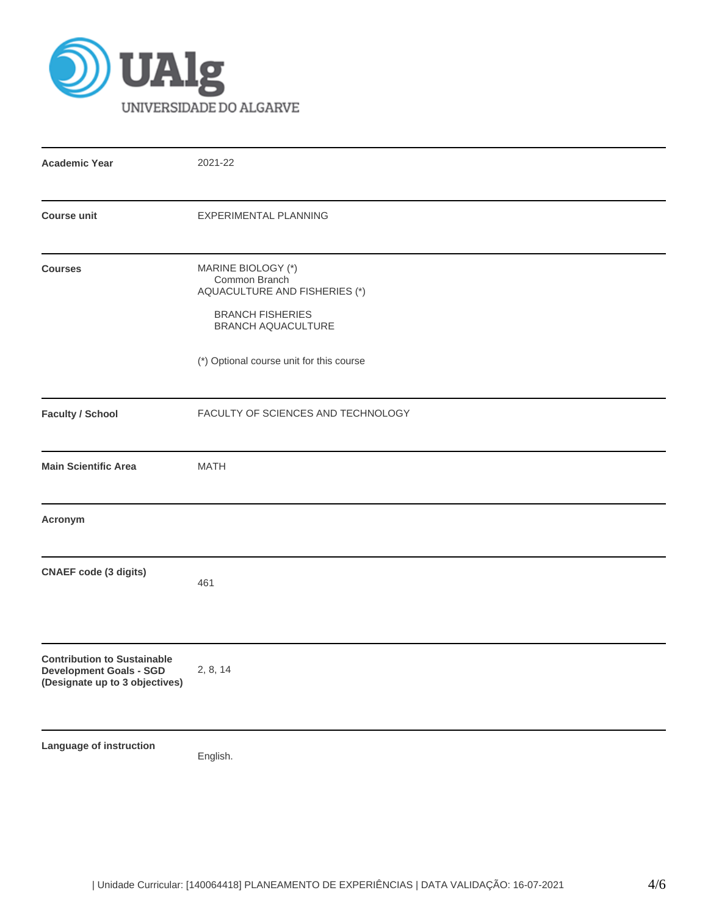

| <b>Academic Year</b>                                                                                   | 2021-22                                                                                                                                                           |  |  |  |  |  |
|--------------------------------------------------------------------------------------------------------|-------------------------------------------------------------------------------------------------------------------------------------------------------------------|--|--|--|--|--|
| <b>Course unit</b>                                                                                     | EXPERIMENTAL PLANNING                                                                                                                                             |  |  |  |  |  |
| <b>Courses</b>                                                                                         | MARINE BIOLOGY (*)<br>Common Branch<br>AQUACULTURE AND FISHERIES (*)<br><b>BRANCH FISHERIES</b><br>BRANCH AQUACULTURE<br>(*) Optional course unit for this course |  |  |  |  |  |
| <b>Faculty / School</b>                                                                                | FACULTY OF SCIENCES AND TECHNOLOGY                                                                                                                                |  |  |  |  |  |
| <b>Main Scientific Area</b>                                                                            | <b>MATH</b>                                                                                                                                                       |  |  |  |  |  |
| Acronym                                                                                                |                                                                                                                                                                   |  |  |  |  |  |
| <b>CNAEF code (3 digits)</b>                                                                           | 461                                                                                                                                                               |  |  |  |  |  |
| <b>Contribution to Sustainable</b><br><b>Development Goals - SGD</b><br>(Designate up to 3 objectives) | 2, 8, 14                                                                                                                                                          |  |  |  |  |  |
| Language of instruction                                                                                | English.                                                                                                                                                          |  |  |  |  |  |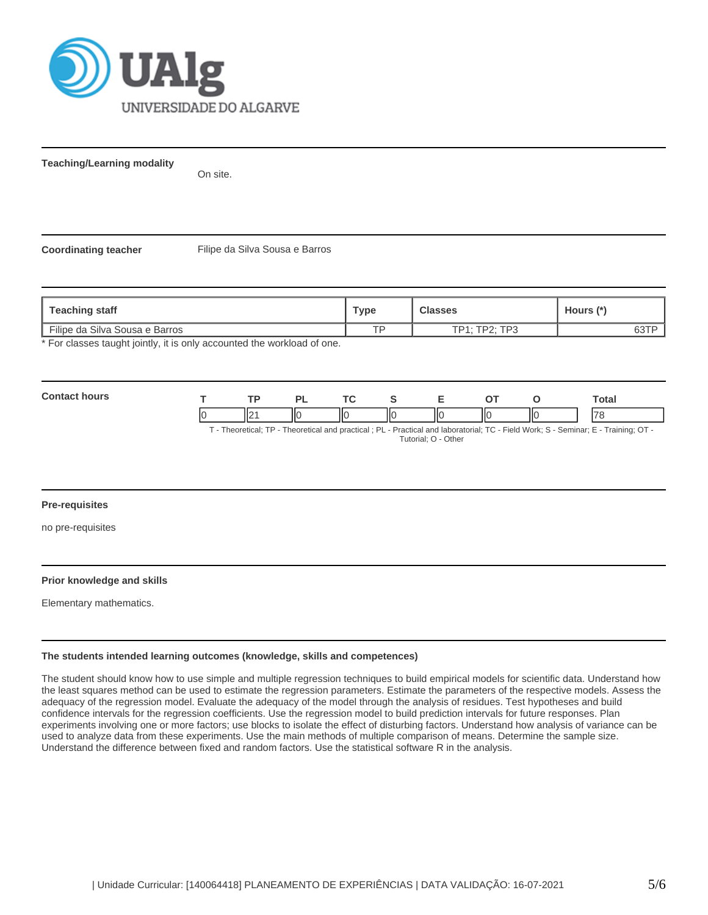

**Teaching/Learning modality**

On site.

**Coordinating teacher** Filipe da Silva Sousa e Barros

| Teaching staff                                                        | Type | <b>Classes</b> | Hours (*) |
|-----------------------------------------------------------------------|------|----------------|-----------|
| Filipe da Silva Sousa e Barros                                        | тo   | TP1: TP2: TP3  | 63TP      |
| * For classes taught jointly it is only accounted the workload of one |      |                |           |

or classes taught jointly, it is only accounted the workload of one.

| Contau<br>ייווח | - |         | D. | $\tau$ |   |                              |    | Total   |
|-----------------|---|---------|----|--------|---|------------------------------|----|---------|
|                 |   | н٠<br>╨ | Ш  | IІC    | Ш | $\mathsf{I}\mathsf{C}$<br>II | IЮ | $1 - c$ |

T - Theoretical; TP - Theoretical and practical ; PL - Practical and laboratorial; TC - Field Work; S - Seminar; E - Training; OT - Tutorial; O - Other

### **Pre-requisites**

no pre-requisites

#### **Prior knowledge and skills**

Elementary mathematics.

#### **The students intended learning outcomes (knowledge, skills and competences)**

The student should know how to use simple and multiple regression techniques to build empirical models for scientific data. Understand how the least squares method can be used to estimate the regression parameters. Estimate the parameters of the respective models. Assess the adequacy of the regression model. Evaluate the adequacy of the model through the analysis of residues. Test hypotheses and build confidence intervals for the regression coefficients. Use the regression model to build prediction intervals for future responses. Plan experiments involving one or more factors; use blocks to isolate the effect of disturbing factors. Understand how analysis of variance can be used to analyze data from these experiments. Use the main methods of multiple comparison of means. Determine the sample size. Understand the difference between fixed and random factors. Use the statistical software R in the analysis.